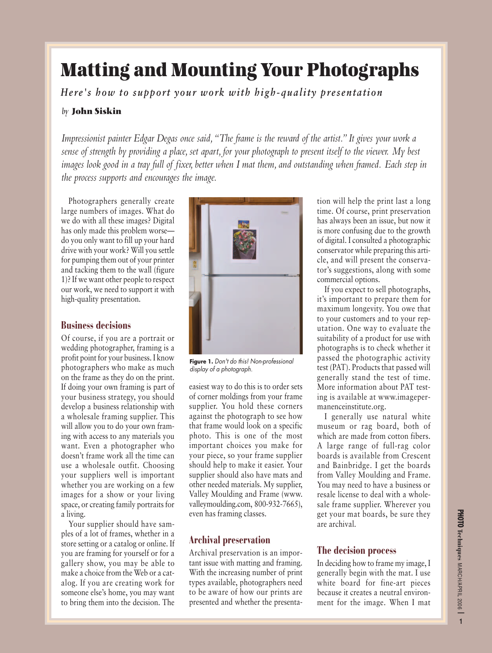# **Matting and Mounting Your Photographs**

*Here's how to support your work with high-quality presentation*

#### *by* **John Siskin**

*Impressionist painter Edgar Degas once said,"The frame is the reward of the artist." It gives your work a sense of strength by providing a place, set apart, for your photograph to present itself to the viewer. My best images look good in a tray full of fixer, better when I mat them, and outstanding when framed. Each step in the process supports and encourages the image.*

Photographers generally create large numbers of images. What do we do with all these images? Digital has only made this problem worse do you only want to fill up your hard drive with your work? Will you settle for pumping them out of your printer and tacking them to the wall (figure 1)? If we want other people to respect our work, we need to support it with high-quality presentation.

# **Business decisions**

Of course, if you are a portrait or wedding photographer, framing is a profit point for your business. I know photographers who make as much on the frame as they do on the print. If doing your own framing is part of your business strategy, you should develop a business relationship with a wholesale framing supplier. This will allow you to do your own framing with access to any materials you want. Even a photographer who doesn't frame work all the time can use a wholesale outfit. Choosing your suppliers well is important whether you are working on a few images for a show or your living space, or creating family portraits for a living.

Your supplier should have samples of a lot of frames, whether in a store setting or a catalog or online. If you are framing for yourself or for a gallery show, you may be able to make a choice from the Web or a catalog. If you are creating work for someone else's home, you may want to bring them into the decision. The



**Figure 1.** Don't do this! Non-professional display of a photograph.

easiest way to do this is to order sets of corner moldings from your frame supplier. You hold these corners against the photograph to see how that frame would look on a specific photo. This is one of the most important choices you make for your piece, so your frame supplier should help to make it easier. Your supplier should also have mats and other needed materials. My supplier, Valley Moulding and Frame (www. valleymoulding.com, 800-932-7665), even has framing classes.

## **Archival preservation**

Archival preservation is an important issue with matting and framing. With the increasing number of print types available, photographers need to be aware of how our prints are presented and whether the presentation will help the print last a long time. Of course, print preservation has always been an issue, but now it is more confusing due to the growth of digital. I consulted a photographic conservator while preparing this article, and will present the conservator's suggestions, along with some commercial options.

If you expect to sell photographs, it's important to prepare them for maximum longevity. You owe that to your customers and to your reputation. One way to evaluate the suitability of a product for use with photographs is to check whether it passed the photographic activity test (PAT). Products that passed will generally stand the test of time. More information about PAT testing is available at www.imagepermanenceinstitute.org.

I generally use natural white museum or rag board, both of which are made from cotton fibers. A large range of full-rag color boards is available from Crescent and Bainbridge. I get the boards from Valley Moulding and Frame. You may need to have a business or resale license to deal with a wholesale frame supplier. Wherever you get your mat boards, be sure they are archival.

## **The decision process**

In deciding how to frame my image, I generally begin with the mat. I use white board for fine-art pieces because it creates a neutral environment for the image. When I mat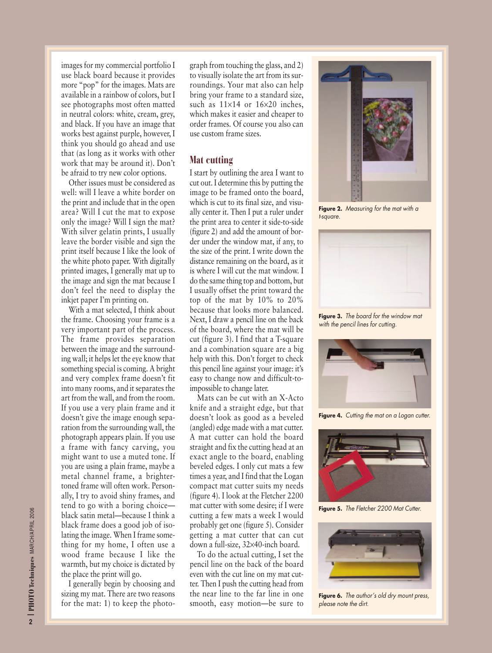images for my commercial portfolio I use black board because it provides more "pop" for the images. Mats are available in a rainbow of colors, but I see photographs most often matted in neutral colors: white, cream, grey, and black. If you have an image that works best against purple, however, I think you should go ahead and use that (as long as it works with other work that may be around it). Don't be afraid to try new color options.

Other issues must be considered as well: will I leave a white border on the print and include that in the open area? Will I cut the mat to expose only the image? Will I sign the mat? With silver gelatin prints, I usually leave the border visible and sign the print itself because I like the look of the white photo paper. With digitally printed images, I generally mat up to the image and sign the mat because I don't feel the need to display the inkjet paper I'm printing on.

With a mat selected, I think about the frame. Choosing your frame is a very important part of the process. The frame provides separation between the image and the surrounding wall; it helps let the eye know that something special is coming. A bright and very complex frame doesn't fit into many rooms, and it separates the art from the wall, and from the room. If you use a very plain frame and it doesn't give the image enough separation from the surrounding wall, the photograph appears plain. If you use a frame with fancy carving, you might want to use a muted tone. If you are using a plain frame, maybe a metal channel frame, a brightertoned frame will often work. Personally, I try to avoid shiny frames, and tend to go with a boring choice black satin metal—because I think a black frame does a good job of isolating the image. When I frame something for my home, I often use a wood frame because I like the warmth, but my choice is dictated by the place the print will go.

I generally begin by choosing and sizing my mat. There are two reasons for the mat: 1) to keep the photograph from touching the glass, and 2) to visually isolate the art from its surroundings. Your mat also can help bring your frame to a standard size, such as  $11\times14$  or  $16\times20$  inches, which makes it easier and cheaper to order frames. Of course you also can use custom frame sizes.

#### **Mat cutting**

I start by outlining the area I want to cut out. I determine this by putting the image to be framed onto the board, which is cut to its final size, and visually center it. Then I put a ruler under the print area to center it side-to-side (figure 2) and add the amount of border under the window mat, if any, to the size of the print. I write down the distance remaining on the board, as it is where I will cut the mat window. I do the same thing top and bottom, but I usually offset the print toward the top of the mat by 10% to 20% because that looks more balanced. Next, I draw a pencil line on the back of the board, where the mat will be cut (figure 3). I find that a T-square and a combination square are a big help with this. Don't forget to check this pencil line against your image: it's easy to change now and difficult-toimpossible to change later.

Mats can be cut with an X-Acto knife and a straight edge, but that doesn't look as good as a beveled (angled) edge made with a mat cutter. A mat cutter can hold the board straight and fix the cutting head at an exact angle to the board, enabling beveled edges. I only cut mats a few times a year, and I find that the Logan compact mat cutter suits my needs (figure 4). I look at the Fletcher 2200 mat cutter with some desire; if I were cutting a few mats a week I would probably get one (figure 5). Consider getting a mat cutter that can cut down a full-size, 32×40-inch board.

To do the actual cutting, I set the pencil line on the back of the board even with the cut line on my mat cutter. Then I push the cutting head from the near line to the far line in one smooth, easy motion—be sure to



Figure 2. Measuring for the mat with a t-square.



**Figure 3.** The board for the window mat with the pencil lines for cutting.



Figure 4. Cutting the mat on a Logan cutter.



Figure 5. The Fletcher 2200 Mat Cutter.



**Figure 6.** The author's old dry mount press, please note the dirt.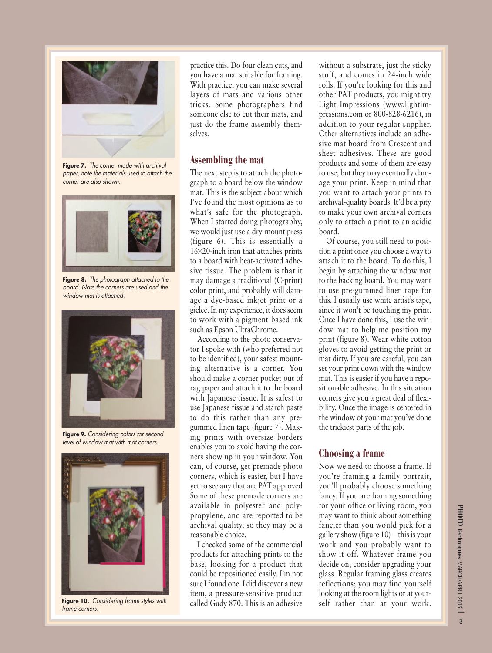

**Figure 7.** The corner made with archival paper, note the materials used to attach the corner are also shown.



**Figure 8.** The photograph attached to the board. Note the corners are used and the window mat is attached.



**Figure 9.** Considering colors for second level of window mat with mat corners.



**Figure 10.** Considering frame styles with frame corners.

practice this. Do four clean cuts, and you have a mat suitable for framing. With practice, you can make several layers of mats and various other tricks. Some photographers find someone else to cut their mats, and just do the frame assembly themselves.

#### **Assembling the mat**

The next step is to attach the photograph to a board below the window mat. This is the subject about which I've found the most opinions as to what's safe for the photograph. When I started doing photography, we would just use a dry-mount press (figure 6). This is essentially a 16×20-inch iron that attaches prints to a board with heat-activated adhesive tissue. The problem is that it may damage a traditional (C-print) color print, and probably will damage a dye-based inkjet print or a giclee. In my experience, it does seem to work with a pigment-based ink such as Epson UltraChrome.

According to the photo conservator I spoke with (who preferred not to be identified), your safest mounting alternative is a corner. You should make a corner pocket out of rag paper and attach it to the board with Japanese tissue. It is safest to use Japanese tissue and starch paste to do this rather than any pregummed linen tape (figure 7). Making prints with oversize borders enables you to avoid having the corners show up in your window. You can, of course, get premade photo corners, which is easier, but I have yet to see any that are PAT approved Some of these premade corners are available in polyester and polypropylene, and are reported to be archival quality, so they may be a reasonable choice.

I checked some of the commercial products for attaching prints to the base, looking for a product that could be repositioned easily. I'm not sure I found one. I did discover a new item, a pressure-sensitive product called Gudy 870. This is an adhesive without a substrate, just the sticky stuff, and comes in 24-inch wide rolls. If you're looking for this and other PAT products, you might try Light Impressions (www.lightimpressions.com or 800-828-6216), in addition to your regular supplier. Other alternatives include an adhesive mat board from Crescent and sheet adhesives. These are good products and some of them are easy to use, but they may eventually damage your print. Keep in mind that you want to attach your prints to archival-quality boards. It'd be a pity to make your own archival corners only to attach a print to an acidic board.

Of course, you still need to position a print once you choose a way to attach it to the board. To do this, I begin by attaching the window mat to the backing board. You may want to use pre-gummed linen tape for this. I usually use white artist's tape, since it won't be touching my print. Once I have done this, I use the window mat to help me position my print (figure 8). Wear white cotton gloves to avoid getting the print or mat dirty. If you are careful, you can set your print down with the window mat. This is easier if you have a repositionable adhesive. In this situation corners give you a great deal of flexibility. Once the image is centered in the window of your mat you've done the trickiest parts of the job.

#### **Choosing a frame**

Now we need to choose a frame. If you're framing a family portrait, you'll probably choose something fancy. If you are framing something for your office or living room, you may want to think about something fancier than you would pick for a gallery show (figure 10)—this is your work and you probably want to show it off. Whatever frame you decide on, consider upgrading your glass. Regular framing glass creates reflections; you may find yourself looking at the room lights or at yourself rather than at your work.